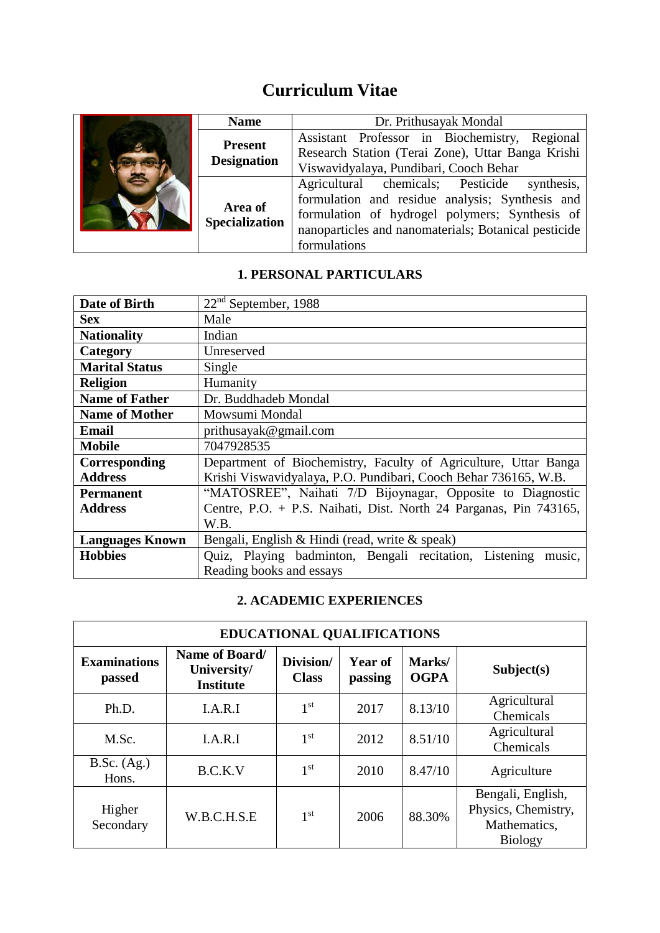# **Curriculum Vitae**

| <b>Name</b>                      | Dr. Prithusayak Mondal                               |
|----------------------------------|------------------------------------------------------|
| <b>Present</b>                   | Assistant Professor in Biochemistry, Regional        |
| <b>Designation</b>               | Research Station (Terai Zone), Uttar Banga Krishi    |
|                                  | Viswavidyalaya, Pundibari, Cooch Behar               |
| Area of<br><b>Specialization</b> | Agricultural chemicals; Pesticide synthesis,         |
|                                  | formulation and residue analysis; Synthesis and      |
|                                  | formulation of hydrogel polymers; Synthesis of       |
|                                  | nanoparticles and nanomaterials; Botanical pesticide |
|                                  | formulations                                         |

# **1. PERSONAL PARTICULARS**

| Date of Birth          | $22nd$ September, 1988                                            |  |  |  |
|------------------------|-------------------------------------------------------------------|--|--|--|
| <b>Sex</b>             | Male                                                              |  |  |  |
| <b>Nationality</b>     | Indian                                                            |  |  |  |
| Category               | Unreserved                                                        |  |  |  |
| <b>Marital Status</b>  | Single                                                            |  |  |  |
| <b>Religion</b>        | Humanity                                                          |  |  |  |
| <b>Name of Father</b>  | Dr. Buddhadeb Mondal                                              |  |  |  |
| <b>Name of Mother</b>  | Mowsumi Mondal                                                    |  |  |  |
| <b>Email</b>           | prithusayak@gmail.com                                             |  |  |  |
| <b>Mobile</b>          | 7047928535                                                        |  |  |  |
| Corresponding          | Department of Biochemistry, Faculty of Agriculture, Uttar Banga   |  |  |  |
| <b>Address</b>         | Krishi Viswavidyalaya, P.O. Pundibari, Cooch Behar 736165, W.B.   |  |  |  |
| <b>Permanent</b>       | "MATOSREE", Naihati 7/D Bijoynagar, Opposite to Diagnostic        |  |  |  |
| <b>Address</b>         | Centre, P.O. + P.S. Naihati, Dist. North 24 Parganas, Pin 743165, |  |  |  |
|                        | W.B.                                                              |  |  |  |
| <b>Languages Known</b> | Bengali, English & Hindi (read, write & speak)                    |  |  |  |
| <b>Hobbies</b>         | Quiz, Playing badminton, Bengali recitation, Listening<br>music,  |  |  |  |
|                        | Reading books and essays                                          |  |  |  |

## **2. ACADEMIC EXPERIENCES**

| <b>EDUCATIONAL QUALIFICATIONS</b> |                                                   |                           |                    |                       |                                                                            |  |  |
|-----------------------------------|---------------------------------------------------|---------------------------|--------------------|-----------------------|----------------------------------------------------------------------------|--|--|
| <b>Examinations</b><br>passed     | Name of Board/<br>University/<br><b>Institute</b> | Division/<br><b>Class</b> | Year of<br>passing | Marks/<br><b>OGPA</b> | Subject(s)                                                                 |  |  |
| Ph.D.                             | I.A.R.I                                           | 1 <sup>st</sup>           | 2017               | 8.13/10               | Agricultural<br>Chemicals                                                  |  |  |
| M.Sc.                             | I.A.R.I                                           | 1 <sup>st</sup>           | 2012               | 8.51/10               | Agricultural<br>Chemicals                                                  |  |  |
| B.Sc. (Ag.)<br>Hons.              | B.C.K.V                                           | 1 <sup>st</sup>           | 2010               | 8.47/10               | Agriculture                                                                |  |  |
| Higher<br>Secondary               | W.B.C.H.S.E                                       | 1 <sup>st</sup>           | 2006               | 88.30%                | Bengali, English,<br>Physics, Chemistry,<br>Mathematics,<br><b>Biology</b> |  |  |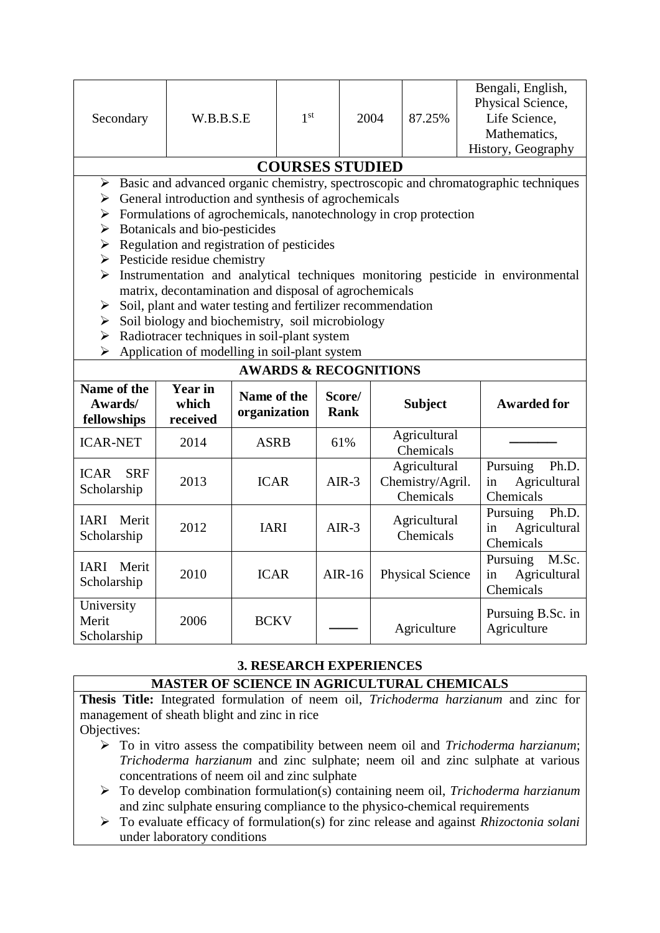| Secondary                                | W.B.B.S.E                           | 1 <sup>st</sup>                                                  |                       | 2004 | 87.25%                           | Bengali, English,<br>Physical Science,<br>Life Science,<br>Mathematics,<br>History, Geography       |  |
|------------------------------------------|-------------------------------------|------------------------------------------------------------------|-----------------------|------|----------------------------------|-----------------------------------------------------------------------------------------------------|--|
|                                          |                                     | <b>COURSES STUDIED</b>                                           |                       |      |                                  |                                                                                                     |  |
|                                          |                                     |                                                                  |                       |      |                                  | $\triangleright$ Basic and advanced organic chemistry, spectroscopic and chromatographic techniques |  |
| ➤                                        |                                     | General introduction and synthesis of agrochemicals              |                       |      |                                  |                                                                                                     |  |
| ➤                                        |                                     | Formulations of agrochemicals, nanotechnology in crop protection |                       |      |                                  |                                                                                                     |  |
| ➤                                        | Botanicals and bio-pesticides       |                                                                  |                       |      |                                  |                                                                                                     |  |
| ➤                                        |                                     | Regulation and registration of pesticides                        |                       |      |                                  |                                                                                                     |  |
| ➤                                        | Pesticide residue chemistry         |                                                                  |                       |      |                                  |                                                                                                     |  |
| ➤                                        |                                     |                                                                  |                       |      |                                  | Instrumentation and analytical techniques monitoring pesticide in environmental                     |  |
|                                          |                                     | matrix, decontamination and disposal of agrochemicals            |                       |      |                                  |                                                                                                     |  |
| ➤                                        |                                     | Soil, plant and water testing and fertilizer recommendation      |                       |      |                                  |                                                                                                     |  |
| ➤                                        |                                     | Soil biology and biochemistry, soil microbiology                 |                       |      |                                  |                                                                                                     |  |
| ➤                                        |                                     | Radiotracer techniques in soil-plant system                      |                       |      |                                  |                                                                                                     |  |
| ➤                                        |                                     | Application of modelling in soil-plant system                    |                       |      |                                  |                                                                                                     |  |
|                                          |                                     | <b>AWARDS &amp; RECOGNITIONS</b>                                 |                       |      |                                  |                                                                                                     |  |
| Name of the<br>Awards/<br>fellowships    | <b>Year in</b><br>which<br>received | Name of the<br>organization                                      | Score/<br><b>Rank</b> |      | <b>Subject</b>                   | <b>Awarded for</b>                                                                                  |  |
| <b>ICAR-NET</b>                          | 2014                                | <b>ASRB</b>                                                      | 61%                   |      | Agricultural<br>Chemicals        |                                                                                                     |  |
| <b>SRF</b><br><b>ICAR</b><br>Scholarship | 2013                                | <b>ICAR</b>                                                      | $AIR-3$               |      | Agricultural<br>Chemistry/Agril. | Pursuing<br>Ph.D.<br>Agricultural<br>in                                                             |  |

| Name of the<br>Awards/<br>fellowships    | <b>Year in</b><br>which<br>received | Name of the<br>organization | Score/<br>Rank | <b>Subject</b>                                | <b>Awarded for</b>                                   |
|------------------------------------------|-------------------------------------|-----------------------------|----------------|-----------------------------------------------|------------------------------------------------------|
| <b>ICAR-NET</b>                          | 2014                                | <b>ASRB</b>                 | 61%            | Agricultural<br>Chemicals                     |                                                      |
| <b>SRF</b><br><b>ICAR</b><br>Scholarship | 2013                                | <b>ICAR</b>                 | $AIR-3$        | Agricultural<br>Chemistry/Agril.<br>Chemicals | Pursuing<br>Ph.D.<br>Agricultural<br>in<br>Chemicals |
| Merit<br>IARI<br>Scholarship             | 2012                                | <b>IARI</b>                 | $AIR-3$        | Agricultural<br>Chemicals                     | Ph.D.<br>Pursuing<br>in<br>Agricultural<br>Chemicals |
| Merit<br>IARI<br>Scholarship             | 2010                                | <b>ICAR</b>                 | $AIR-16$       | <b>Physical Science</b>                       | M.Sc.<br>Pursuing<br>in<br>Agricultural<br>Chemicals |
| University<br>Merit<br>Scholarship       | 2006                                | <b>BCKV</b>                 |                | Agriculture                                   | Pursuing B.Sc. in<br>Agriculture                     |

# **3. RESEARCH EXPERIENCES**

### **MASTER OF SCIENCE IN AGRICULTURAL CHEMICALS**

**Thesis Title:** Integrated formulation of neem oil, *Trichoderma harzianum* and zinc for management of sheath blight and zinc in rice

- Objectives:
	- To in vitro assess the compatibility between neem oil and *Trichoderma harzianum*; *Trichoderma harzianum* and zinc sulphate; neem oil and zinc sulphate at various concentrations of neem oil and zinc sulphate
	- To develop combination formulation(s) containing neem oil, *Trichoderma harzianum* and zinc sulphate ensuring compliance to the physico-chemical requirements
	- To evaluate efficacy of formulation(s) for zinc release and against *Rhizoctonia solani* under laboratory conditions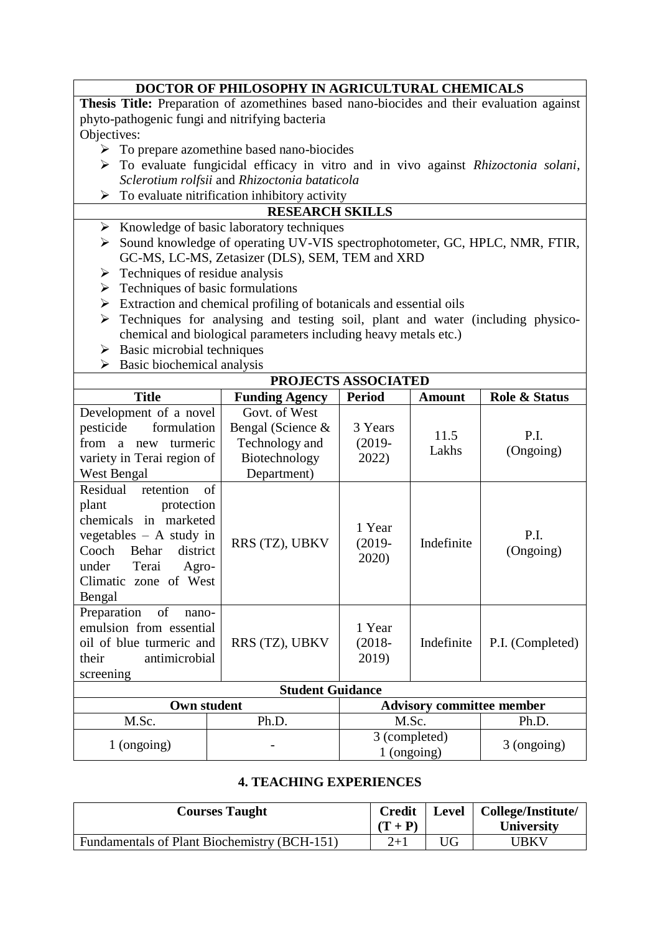|             | <b>DOCTOR OF PHILOSOPHY IN AGRICULTURAL CHEMICALS</b>                                            |  |  |  |  |  |
|-------------|--------------------------------------------------------------------------------------------------|--|--|--|--|--|
|             | <b>Thesis Title:</b> Preparation of azomethines based nano-biocides and their evaluation against |  |  |  |  |  |
|             | phyto-pathogenic fungi and nitrifying bacteria                                                   |  |  |  |  |  |
| Objectives: |                                                                                                  |  |  |  |  |  |
|             | $\triangleright$ To prepare azomethine based nano-biocides                                       |  |  |  |  |  |
| ➤           | To evaluate fungicidal efficacy in vitro and in vivo against Rhizoctonia solani,                 |  |  |  |  |  |
|             | Sclerotium rolfsii and Rhizoctonia bataticola                                                    |  |  |  |  |  |
|             | $\triangleright$ To evaluate nitrification inhibitory activity                                   |  |  |  |  |  |
|             | <b>RESEARCH SKILLS</b>                                                                           |  |  |  |  |  |
| ➤           | Knowledge of basic laboratory techniques                                                         |  |  |  |  |  |
| ➤           | Sound knowledge of operating UV-VIS spectrophotometer, GC, HPLC, NMR, FTIR,                      |  |  |  |  |  |
|             | GC-MS, LC-MS, Zetasizer (DLS), SEM, TEM and XRD                                                  |  |  |  |  |  |
|             | $\triangleright$ Techniques of residue analysis                                                  |  |  |  |  |  |
| ➤           | Techniques of basic formulations                                                                 |  |  |  |  |  |
| ➤           | Extraction and chemical profiling of botanicals and essential oils                               |  |  |  |  |  |
| ➤           | Techniques for analysing and testing soil, plant and water (including physico-                   |  |  |  |  |  |
|             | chemical and biological parameters including heavy metals etc.)                                  |  |  |  |  |  |
| ➤           | Basic microbial techniques                                                                       |  |  |  |  |  |
| ➤           | Basic biochemical analysis                                                                       |  |  |  |  |  |

| <b>PROJECTS ASSOCIATED</b>                                                                                                                                                                           |                                                                                      |                                  |               |                   |  |  |
|------------------------------------------------------------------------------------------------------------------------------------------------------------------------------------------------------|--------------------------------------------------------------------------------------|----------------------------------|---------------|-------------------|--|--|
| <b>Title</b>                                                                                                                                                                                         | <b>Funding Agency</b>                                                                | <b>Period</b>                    | <b>Amount</b> | Role & Status     |  |  |
| Development of a novel<br>formulation<br>pesticide<br>from a new<br>turmeric<br>variety in Terai region of<br>West Bengal                                                                            | Govt. of West<br>Bengal (Science &<br>Technology and<br>Biotechnology<br>Department) | 3 Years<br>$(2019 -$<br>2022)    | 11.5<br>Lakhs | P.I.<br>(Ongoing) |  |  |
| of<br>Residual<br>retention<br>plant<br>protection<br>chemicals in marketed<br>vegetables $- A$ study in<br>Cooch<br>Behar<br>district<br>under<br>Terai<br>Agro-<br>Climatic zone of West<br>Bengal | RRS (TZ), UBKV                                                                       | 1 Year<br>$(2019 -$<br>2020)     | Indefinite    | P.I.<br>(Ongoing) |  |  |
| Preparation<br>of<br>nano-<br>emulsion from essential<br>oil of blue turmeric and<br>antimicrobial<br>their<br>screening                                                                             | RRS (TZ), UBKV                                                                       | 1 Year<br>$(2018 -$<br>2019)     | Indefinite    | P.I. (Completed)  |  |  |
|                                                                                                                                                                                                      | <b>Student Guidance</b>                                                              |                                  |               |                   |  |  |
| Own student                                                                                                                                                                                          |                                                                                      | <b>Advisory committee member</b> |               |                   |  |  |
| M.Sc.                                                                                                                                                                                                | Ph.D.                                                                                |                                  | M.Sc.         | Ph.D.             |  |  |
| 1 (ongoing)                                                                                                                                                                                          |                                                                                      | 3 (completed)<br>$1$ (ongoing)   |               | 3 (ongoing)       |  |  |

### **4. TEACHING EXPERIENCES**

| <b>Courses Taught</b>                        | $(T + P)$ |      | Credit   Level   College/Institute/<br>University |
|----------------------------------------------|-----------|------|---------------------------------------------------|
| Fundamentals of Plant Biochemistry (BCH-151) | $2 + 1$   | UG - | <b>UBKV</b>                                       |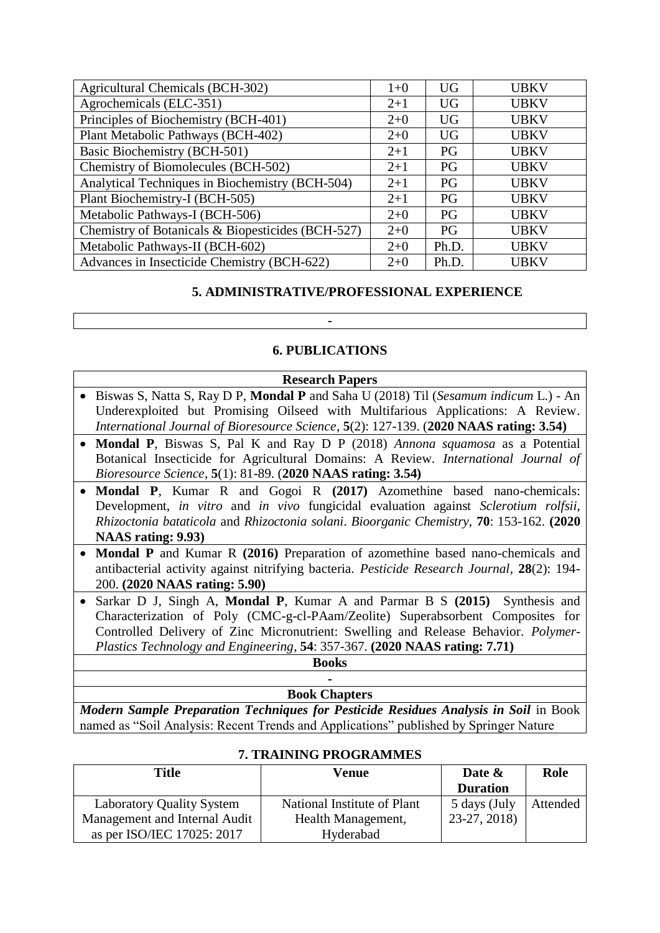| <b>Agricultural Chemicals (BCH-302)</b>           | $1 + 0$ | <b>UG</b> | <b>UBKV</b> |
|---------------------------------------------------|---------|-----------|-------------|
| Agrochemicals (ELC-351)                           | $2+1$   | <b>UG</b> | <b>UBKV</b> |
| Principles of Biochemistry (BCH-401)              | $2+0$   | <b>UG</b> | <b>UBKV</b> |
| Plant Metabolic Pathways (BCH-402)                | $2+0$   | <b>UG</b> | <b>UBKV</b> |
| Basic Biochemistry (BCH-501)                      | $2+1$   | PG        | <b>UBKV</b> |
| Chemistry of Biomolecules (BCH-502)               |         | PG        | <b>UBKV</b> |
| Analytical Techniques in Biochemistry (BCH-504)   | $2 + 1$ | PG        | <b>UBKV</b> |
| Plant Biochemistry-I (BCH-505)                    | $2+1$   | <b>PG</b> | <b>UBKV</b> |
| Metabolic Pathways-I (BCH-506)                    | $2+0$   | PG        | <b>UBKV</b> |
| Chemistry of Botanicals & Biopesticides (BCH-527) | $2+0$   | <b>PG</b> | <b>UBKV</b> |
| Metabolic Pathways-II (BCH-602)                   | $2+0$   | Ph.D.     | <b>UBKV</b> |
| Advances in Insecticide Chemistry (BCH-622)       | $2+0$   | Ph.D.     | <b>UBKV</b> |

#### **5. ADMINISTRATIVE/PROFESSIONAL EXPERIENCE**

### **6. PUBLICATIONS**

**-**

| <b>Research Papers</b>                                                                  |  |  |  |  |  |  |
|-----------------------------------------------------------------------------------------|--|--|--|--|--|--|
| • Biswas S, Natta S, Ray D P, Mondal P and Saha U (2018) Til (Sesamum indicum L.) - An  |  |  |  |  |  |  |
| Under exploited but Promising Oilseed with Multifarious Applications: A Review.         |  |  |  |  |  |  |
| International Journal of Bioresource Science, 5(2): 127-139. (2020 NAAS rating: 3.54)   |  |  |  |  |  |  |
| • Mondal P, Biswas S, Pal K and Ray D P (2018) Annona squamosa as a Potential           |  |  |  |  |  |  |
| Botanical Insecticide for Agricultural Domains: A Review. International Journal of      |  |  |  |  |  |  |
| <i>Bioresource Science,</i> 5(1): 81-89. (2020 NAAS rating: 3.54)                       |  |  |  |  |  |  |
| • Mondal P, Kumar R and Gogoi R (2017) Azomethine based nano-chemicals:                 |  |  |  |  |  |  |
| Development, in vitro and in vivo fungicidal evaluation against Sclerotium rolfsii,     |  |  |  |  |  |  |
| Rhizoctonia bataticola and Rhizoctonia solani. Bioorganic Chemistry, 70: 153-162. (2020 |  |  |  |  |  |  |

**NAAS rating: 9.93)**

- **Mondal P** and Kumar R **(2016)** Preparation of azomethine based nano-chemicals and antibacterial activity against nitrifying bacteria. *Pesticide Research Journal*, **28**(2): 194- 200. **(2020 NAAS rating: 5.90)**
- Sarkar D J, Singh A, **Mondal P**, Kumar A and Parmar B S **(2015)** Synthesis and Characterization of Poly (CMC-g-cl-PAam/Zeolite) Superabsorbent Composites for Controlled Delivery of Zinc Micronutrient: Swelling and Release Behavior. *Polymer-Plastics Technology and Engineering*, **54**: 357-367. **(2020 NAAS rating: 7.71)**

#### **Books -**

#### **Book Chapters**

*Modern Sample Preparation Techniques for Pesticide Residues Analysis in Soil* in Book named as "Soil Analysis: Recent Trends and Applications" published by Springer Nature

| Title                         | Venue                       | Date $\&$       | Role     |  |  |  |  |
|-------------------------------|-----------------------------|-----------------|----------|--|--|--|--|
|                               |                             | <b>Duration</b> |          |  |  |  |  |
| Laboratory Quality System     | National Institute of Plant | 5 days (July    | Attended |  |  |  |  |
| Management and Internal Audit | Health Management,          | 23-27, 2018)    |          |  |  |  |  |
| as per ISO/IEC 17025: 2017    | Hyderabad                   |                 |          |  |  |  |  |

#### **7. TRAINING PROGRAMMES**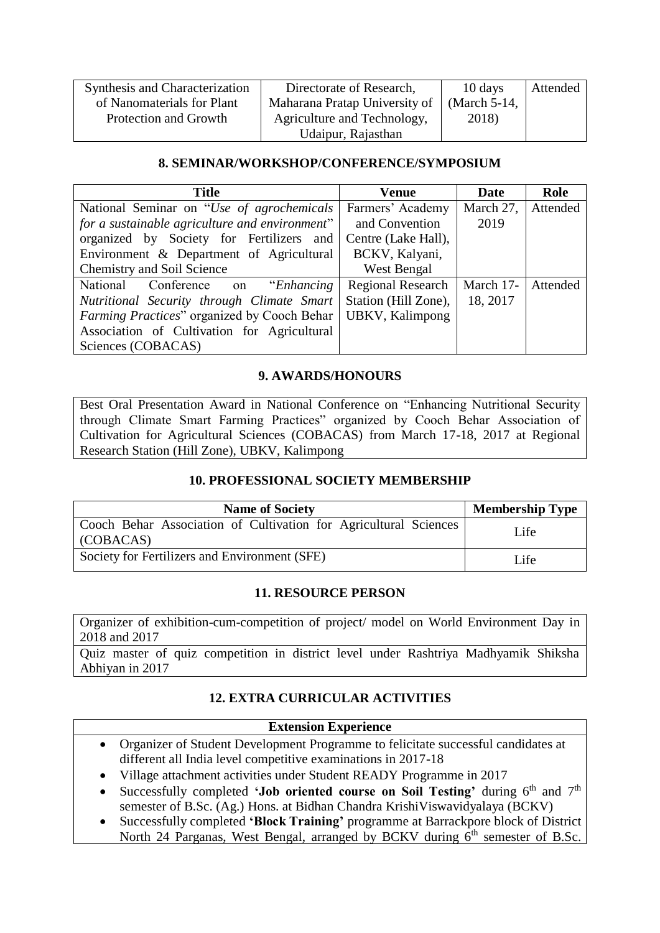| Synthesis and Characterization | Directorate of Research,      | 10 days      | Attended |
|--------------------------------|-------------------------------|--------------|----------|
| of Nanomaterials for Plant     | Maharana Pratap University of | (March 5-14, |          |
| Protection and Growth          | Agriculture and Technology,   | 2018)        |          |
|                                | Udaipur, Rajasthan            |              |          |

#### **8. SEMINAR/WORKSHOP/CONFERENCE/SYMPOSIUM**

| <b>Title</b>                                   | Venue                    | <b>Date</b> | Role     |
|------------------------------------------------|--------------------------|-------------|----------|
| National Seminar on "Use of agrochemicals      | Farmers' Academy         | March 27,   | Attended |
| for a sustainable agriculture and environment" | and Convention           | 2019        |          |
| organized by Society for Fertilizers and       | Centre (Lake Hall),      |             |          |
| Environment & Department of Agricultural       | BCKV, Kalyani,           |             |          |
| Chemistry and Soil Science                     | West Bengal              |             |          |
| National Conference on "Enhancing"             | <b>Regional Research</b> | March 17-   | Attended |
| Nutritional Security through Climate Smart     | Station (Hill Zone),     | 18, 2017    |          |
| Farming Practices" organized by Cooch Behar    | UBKV, Kalimpong          |             |          |
| Association of Cultivation for Agricultural    |                          |             |          |
| Sciences (COBACAS)                             |                          |             |          |

#### **9. AWARDS/HONOURS**

Best Oral Presentation Award in National Conference on "Enhancing Nutritional Security through Climate Smart Farming Practices" organized by Cooch Behar Association of Cultivation for Agricultural Sciences (COBACAS) from March 17-18, 2017 at Regional Research Station (Hill Zone), UBKV, Kalimpong

### **10. PROFESSIONAL SOCIETY MEMBERSHIP**

| <b>Name of Society</b>                                                                | <b>Membership Type</b> |  |
|---------------------------------------------------------------------------------------|------------------------|--|
| Cooch Behar Association of Cultivation for Agricultural Sciences<br>$\vert$ (COBACAS) | Life                   |  |
| Society for Fertilizers and Environment (SFE)                                         | Life.                  |  |

### **11. RESOURCE PERSON**

Organizer of exhibition-cum-competition of project/ model on World Environment Day in 2018 and 2017

Quiz master of quiz competition in district level under Rashtriya Madhyamik Shiksha Abhiyan in 2017

### **12. EXTRA CURRICULAR ACTIVITIES**

### **Extension Experience**

- Organizer of Student Development Programme to felicitate successful candidates at different all India level competitive examinations in 2017-18
- Village attachment activities under Student READY Programme in 2017
- Successfully completed **'Job oriented course on Soil Testing'** during  $6<sup>th</sup>$  and  $7<sup>th</sup>$ semester of B.Sc. (Ag.) Hons. at Bidhan Chandra KrishiViswavidyalaya (BCKV)
- Successfully completed **'Block Training'** programme at Barrackpore block of District North 24 Parganas, West Bengal, arranged by BCKV during  $6<sup>th</sup>$  semester of B.Sc.